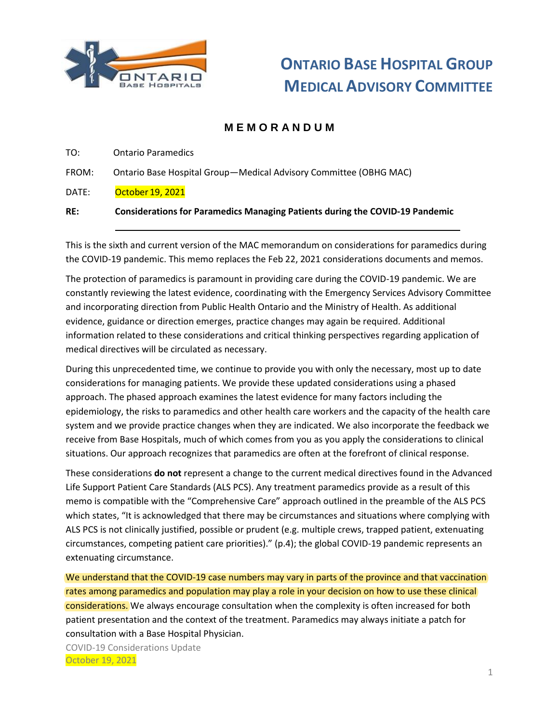

## **M E M O R A N D U M**

- TO: Ontario Paramedics
- FROM: Ontario Base Hospital Group—Medical Advisory Committee (OBHG MAC)
- DATE: October 19, 2021

#### **RE: Considerations for Paramedics Managing Patients during the COVID-19 Pandemic**

This is the sixth and current version of the MAC memorandum on considerations for paramedics during the COVID-19 pandemic. This memo replaces the Feb 22, 2021 considerations documents and memos.

The protection of paramedics is paramount in providing care during the COVID-19 pandemic. We are constantly reviewing the latest evidence, coordinating with the Emergency Services Advisory Committee and incorporating direction from Public Health Ontario and the Ministry of Health. As additional evidence, guidance or direction emerges, practice changes may again be required. Additional information related to these considerations and critical thinking perspectives regarding application of medical directives will be circulated as necessary.

During this unprecedented time, we continue to provide you with only the necessary, most up to date considerations for managing patients. We provide these updated considerations using a phased approach. The phased approach examines the latest evidence for many factors including the epidemiology, the risks to paramedics and other health care workers and the capacity of the health care system and we provide practice changes when they are indicated. We also incorporate the feedback we receive from Base Hospitals, much of which comes from you as you apply the considerations to clinical situations. Our approach recognizes that paramedics are often at the forefront of clinical response.

These considerations **do not** represent a change to the current medical directives found in the Advanced Life Support Patient Care Standards (ALS PCS). Any treatment paramedics provide as a result of this memo is compatible with the "Comprehensive Care" approach outlined in the preamble of the ALS PCS which states, "It is acknowledged that there may be circumstances and situations where complying with ALS PCS is not clinically justified, possible or prudent (e.g. multiple crews, trapped patient, extenuating circumstances, competing patient care priorities)." (p.4); the global COVID-19 pandemic represents an extenuating circumstance.

We understand that the COVID-19 case numbers may vary in parts of the province and that vaccination rates among paramedics and population may play a role in your decision on how to use these clinical considerations. We always encourage consultation when the complexity is often increased for both patient presentation and the context of the treatment. Paramedics may always initiate a patch for consultation with a Base Hospital Physician.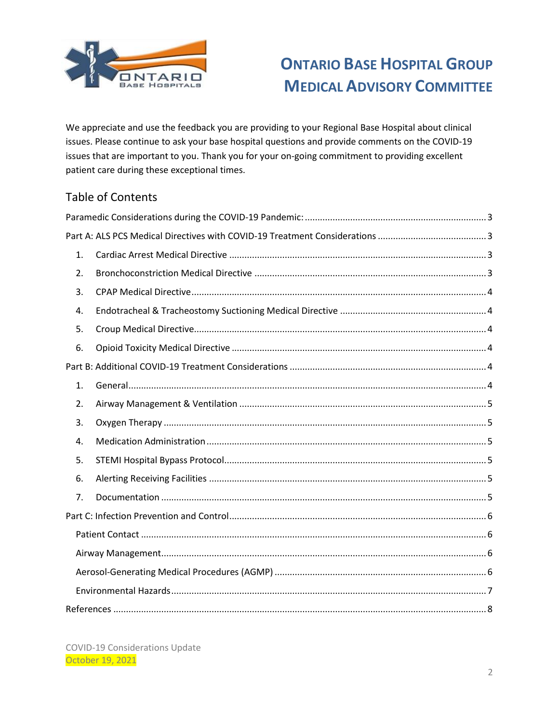

We appreciate and use the feedback you are providing to your Regional Base Hospital about clinical issues. Please continue to ask your base hospital questions and provide comments on the COVID-19 issues that are important to you. Thank you for your on-going commitment to providing excellent patient care during these exceptional times.

## Table of Contents

| 1. |  |  |
|----|--|--|
| 2. |  |  |
| 3. |  |  |
| 4. |  |  |
| 5. |  |  |
| 6. |  |  |
|    |  |  |
| 1. |  |  |
| 2. |  |  |
| 3. |  |  |
| 4. |  |  |
| 5. |  |  |
| 6. |  |  |
| 7. |  |  |
|    |  |  |
|    |  |  |
|    |  |  |
|    |  |  |
|    |  |  |
|    |  |  |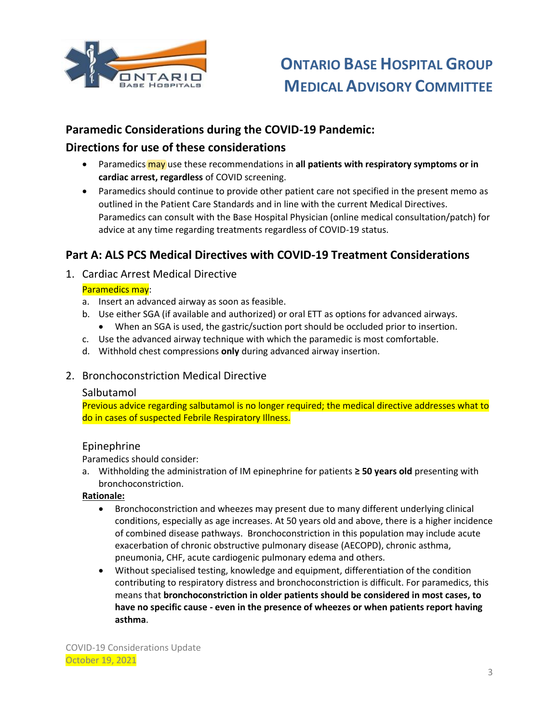

## <span id="page-2-0"></span>**Paramedic Considerations during the COVID-19 Pandemic:**

## **Directions for use of these considerations**

- Paramedics may use these recommendations in **all patients with respiratory symptoms or in cardiac arrest, regardless** of COVID screening.
- Paramedics should continue to provide other patient care not specified in the present memo as outlined in the Patient Care Standards and in line with the current Medical Directives. Paramedics can consult with the Base Hospital Physician (online medical consultation/patch) for advice at any time regarding treatments regardless of COVID-19 status.

## <span id="page-2-1"></span>**Part A: ALS PCS Medical Directives with COVID-19 Treatment Considerations**

<span id="page-2-2"></span>1. Cardiac Arrest Medical Directive

#### Paramedics may:

- a. Insert an advanced airway as soon as feasible.
- b. Use either SGA (if available and authorized) or oral ETT as options for advanced airways.
	- When an SGA is used, the gastric/suction port should be occluded prior to insertion.
- c. Use the advanced airway technique with which the paramedic is most comfortable.
- d. Withhold chest compressions **only** during advanced airway insertion.
- <span id="page-2-3"></span>2. Bronchoconstriction Medical Directive

#### Salbutamol

Previous advice regarding salbutamol is no longer required; the medical directive addresses what to do in cases of suspected Febrile Respiratory Illness.

### Epinephrine

Paramedics should consider:

a. Withholding the administration of IM epinephrine for patients **≥ 50 years old** presenting with bronchoconstriction.

#### **Rationale:**

- Bronchoconstriction and wheezes may present due to many different underlying clinical conditions, especially as age increases. At 50 years old and above, there is a higher incidence of combined disease pathways. Bronchoconstriction in this population may include acute exacerbation of chronic obstructive pulmonary disease (AECOPD), chronic asthma, pneumonia, CHF, acute cardiogenic pulmonary edema and others.
- Without specialised testing, knowledge and equipment, differentiation of the condition contributing to respiratory distress and bronchoconstriction is difficult. For paramedics, this means that **bronchoconstriction in older patients should be considered in most cases, to have no specific cause - even in the presence of wheezes or when patients report having asthma**.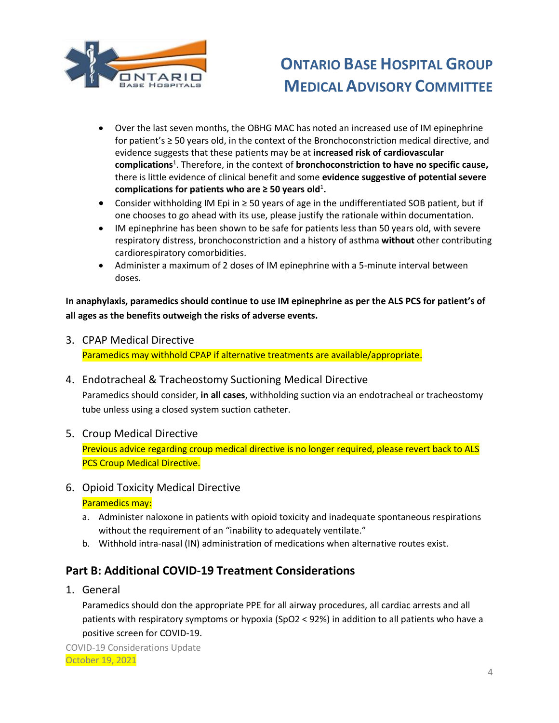

- Over the last seven months, the OBHG MAC has noted an increased use of IM epinephrine for patient's ≥ 50 years old, in the context of the Bronchoconstriction medical directive, and evidence suggests that these patients may be at **increased risk of cardiovascular complications**<sup>1</sup> . Therefore, in the context of **bronchoconstriction to have no specific cause,** there is little evidence of clinical benefit and some **evidence suggestive of potential severe**  complications for patients who are  $\geq$  50 years old<sup>1</sup>.
- Consider withholding IM Epi in ≥ 50 years of age in the undifferentiated SOB patient, but if one chooses to go ahead with its use, please justify the rationale within documentation.
- IM epinephrine has been shown to be safe for patients less than 50 years old, with severe respiratory distress, bronchoconstriction and a history of asthma **without** other contributing cardiorespiratory comorbidities.
- Administer a maximum of 2 doses of IM epinephrine with a 5-minute interval between doses.

**In anaphylaxis, paramedics should continue to use IM epinephrine as per the ALS PCS for patient's of all ages as the benefits outweigh the risks of adverse events.**

<span id="page-3-0"></span>3. CPAP Medical Directive

Paramedics may withhold CPAP if alternative treatments are available/appropriate.

<span id="page-3-1"></span>4. Endotracheal & Tracheostomy Suctioning Medical Directive

Paramedics should consider, **in all cases**, withholding suction via an endotracheal or tracheostomy tube unless using a closed system suction catheter.

<span id="page-3-2"></span>5. Croup Medical Directive

Previous advice regarding croup medical directive is no longer required, please revert back to ALS PCS Croup Medical Directive.

<span id="page-3-3"></span>6. Opioid Toxicity Medical Directive

Paramedics may:

- a. Administer naloxone in patients with opioid toxicity and inadequate spontaneous respirations without the requirement of an "inability to adequately ventilate."
- b. Withhold intra-nasal (IN) administration of medications when alternative routes exist.

## <span id="page-3-4"></span>**Part B: Additional COVID-19 Treatment Considerations**

<span id="page-3-5"></span>1. General

Paramedics should don the appropriate PPE for all airway procedures, all cardiac arrests and all patients with respiratory symptoms or hypoxia (SpO2 < 92%) in addition to all patients who have a positive screen for COVID-19.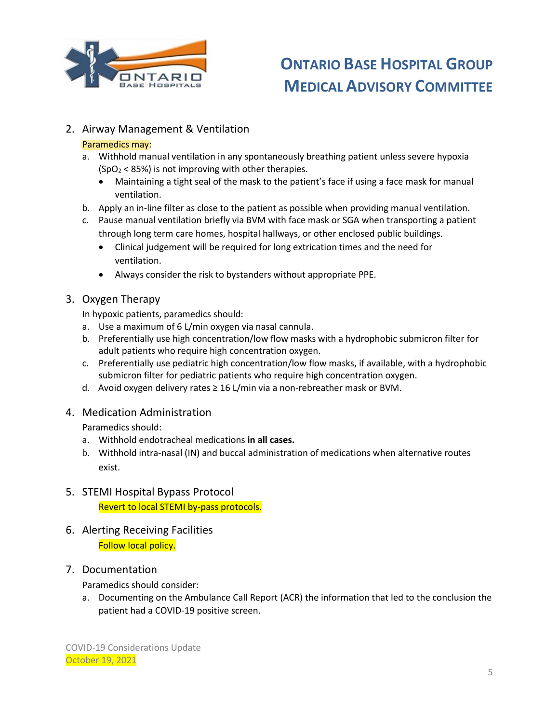

### <span id="page-4-0"></span>2. Airway Management & Ventilation

#### Paramedics may:

- a. Withhold manual ventilation in any spontaneously breathing patient unless severe hypoxia  $(SpO<sub>2</sub> < 85%)$  is not improving with other therapies.
	- Maintaining a tight seal of the mask to the patient's face if using a face mask for manual ventilation.
- b. Apply an in-line filter as close to the patient as possible when providing manual ventilation.
- c. Pause manual ventilation briefly via BVM with face mask or SGA when transporting a patient through long term care homes, hospital hallways, or other enclosed public buildings.
	- Clinical judgement will be required for long extrication times and the need for ventilation.
	- Always consider the risk to bystanders without appropriate PPE.

#### <span id="page-4-1"></span>3. Oxygen Therapy

In hypoxic patients, paramedics should:

- a. Use a maximum of 6 L/min oxygen via nasal cannula.
- b. Preferentially use high concentration/low flow masks with a hydrophobic submicron filter for adult patients who require high concentration oxygen.
- c. Preferentially use pediatric high concentration/low flow masks, if available, with a hydrophobic submicron filter for pediatric patients who require high concentration oxygen.
- d. Avoid oxygen delivery rates  $\geq 16$  L/min via a non-rebreather mask or BVM.

#### <span id="page-4-2"></span>4. Medication Administration

Paramedics should:

- a. Withhold endotracheal medications **in all cases.**
- b. Withhold intra-nasal (IN) and buccal administration of medications when alternative routes exist.

## <span id="page-4-3"></span>5. STEMI Hospital Bypass Protocol Revert to local STEMI by-pass protocols.

<span id="page-4-4"></span>6. Alerting Receiving Facilities Follow local policy.

### <span id="page-4-5"></span>7. Documentation

Paramedics should consider:

a. Documenting on the Ambulance Call Report (ACR) the information that led to the conclusion the patient had a COVID-19 positive screen.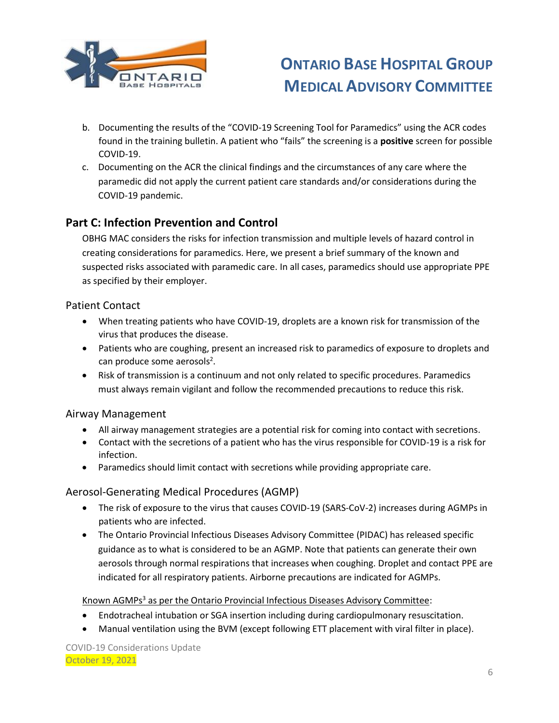

- b. Documenting the results of the "COVID-19 Screening Tool for Paramedics" using the ACR codes found in the training bulletin. A patient who "fails" the screening is a **positive** screen for possible COVID-19.
- c. Documenting on the ACR the clinical findings and the circumstances of any care where the paramedic did not apply the current patient care standards and/or considerations during the COVID-19 pandemic.

## <span id="page-5-0"></span>**Part C: Infection Prevention and Control**

OBHG MAC considers the risks for infection transmission and multiple levels of hazard control in creating considerations for paramedics. Here, we present a brief summary of the known and suspected risks associated with paramedic care. In all cases, paramedics should use appropriate PPE as specified by their employer.

### <span id="page-5-1"></span>Patient Contact

- When treating patients who have COVID-19, droplets are a known risk for transmission of the virus that produces the disease.
- Patients who are coughing, present an increased risk to paramedics of exposure to droplets and can produce some aerosols<sup>2</sup>.
- Risk of transmission is a continuum and not only related to specific procedures. Paramedics must always remain vigilant and follow the recommended precautions to reduce this risk.

### <span id="page-5-2"></span>Airway Management

- All airway management strategies are a potential risk for coming into contact with secretions.
- Contact with the secretions of a patient who has the virus responsible for COVID-19 is a risk for infection.
- Paramedics should limit contact with secretions while providing appropriate care.

### <span id="page-5-3"></span>Aerosol-Generating Medical Procedures (AGMP)

- The risk of exposure to the virus that causes COVID-19 (SARS-CoV-2) increases during AGMPs in patients who are infected.
- The Ontario Provincial Infectious Diseases Advisory Committee (PIDAC) has released specific guidance as to what is considered to be an AGMP. Note that patients can generate their own aerosols through normal respirations that increases when coughing. Droplet and contact PPE are indicated for all respiratory patients. Airborne precautions are indicated for AGMPs.

#### Known AGMPs<sup>3</sup> as per the Ontario Provincial Infectious Diseases Advisory Committee:

- Endotracheal intubation or SGA insertion including during cardiopulmonary resuscitation.
- Manual ventilation using the BVM (except following ETT placement with viral filter in place).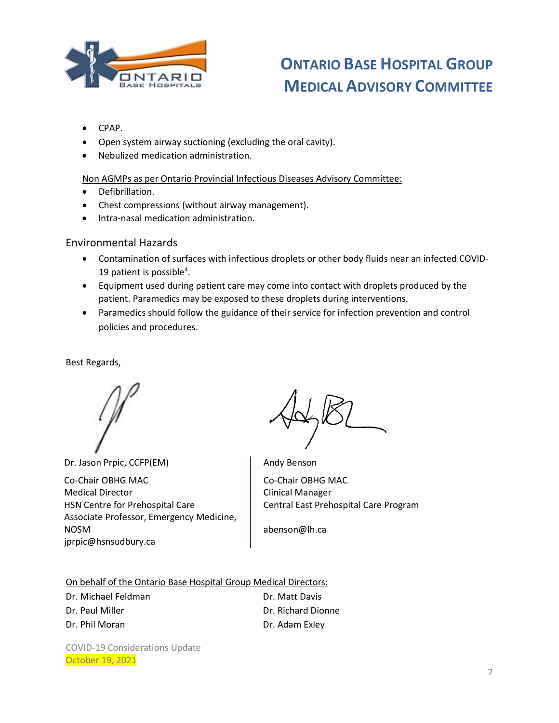

- CPAP.
- Open system airway suctioning (excluding the oral cavity).
- Nebulized medication administration.

#### Non AGMPs as per Ontario Provincial Infectious Diseases Advisory Committee:

- Defibrillation.
- Chest compressions (without airway management).
- **•** Intra-nasal medication administration.

#### <span id="page-6-0"></span>Environmental Hazards

- Contamination of surfaces with infectious droplets or other body fluids near an infected COVID-19 patient is possible<sup>4</sup>.
- Equipment used during patient care may come into contact with droplets produced by the patient. Paramedics may be exposed to these droplets during interventions.
- Paramedics should follow the guidance of their service for infection prevention and control policies and procedures.

Best Regards,

Dr. Jason Prpic, CCFP(EM) Co-Chair OBHG MAC Medical Director HSN Centre for Prehospital Care Associate Professor, Emergency Medicine, NOSM jprpic@hsnsudbury.ca

Andy Benson Co-Chair OBHG MAC Clinical Manager Central East Prehospital Care Program

abenson@lh.ca

On behalf of the Ontario Base Hospital Group Medical Directors:

| Dr. Michael Feldman | Dr. Matt Davis     |
|---------------------|--------------------|
| Dr. Paul Miller     | Dr. Richard Dionne |
| Dr. Phil Moran      | Dr. Adam Exley     |